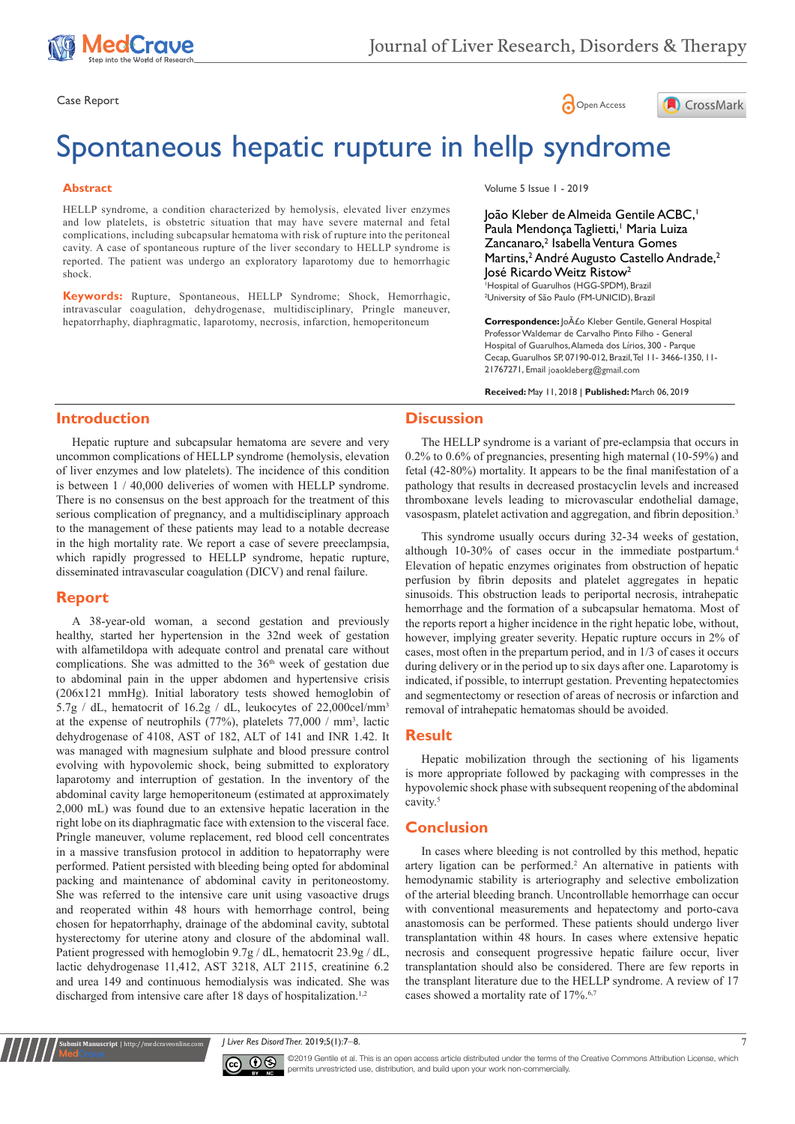





# Spontaneous hepatic rupture in hellp syndrome

#### **Abstract**

HELLP syndrome, a condition characterized by hemolysis, elevated liver enzymes and low platelets, is obstetric situation that may have severe maternal and fetal complications, including subcapsular hematoma with risk of rupture into the peritoneal cavity. A case of spontaneous rupture of the liver secondary to HELLP syndrome is reported. The patient was undergo an exploratory laparotomy due to hemorrhagic shock.

**Keywords:** Rupture, Spontaneous, HELLP Syndrome; Shock, Hemorrhagic, intravascular coagulation, dehydrogenase, multidisciplinary, Pringle maneuver, hepatorrhaphy, diaphragmatic, laparotomy, necrosis, infarction, hemoperitoneum

Volume 5 Issue 1 - 2019

João Kleber de Almeida Gentile ACBC,1 Paula Mendonça Taglietti,<sup>1</sup> Maria Luiza Zancanaro,<sup>2</sup> Isabella Ventura Gomes Martins,<sup>2</sup> André Augusto Castello Andrade,<sup>2</sup> José Ricardo Weitz Ristow2 1 Hospital of Guarulhos (HGG-SPDM), Brazil 2 University of São Paulo (FM-UNICID), Brazil

Correspondence: João Kleber Gentile, General Hospital Professor Waldemar de Carvalho Pinto Filho - General Hospital of Guarulhos, Alameda dos Lírios, 300 - Parque Cecap, Guarulhos SP, 07190-012, Brazil, Tel 11- 3466-1350, 11- 21767271, Email joaokleberg@gmail.com

**Received:** May 11, 2018 | **Published:** March 06, 2019

## **Introduction**

Hepatic rupture and subcapsular hematoma are severe and very uncommon complications of HELLP syndrome (hemolysis, elevation of liver enzymes and low platelets). The incidence of this condition is between 1 / 40,000 deliveries of women with HELLP syndrome. There is no consensus on the best approach for the treatment of this serious complication of pregnancy, and a multidisciplinary approach to the management of these patients may lead to a notable decrease in the high mortality rate. We report a case of severe preeclampsia, which rapidly progressed to HELLP syndrome, hepatic rupture, disseminated intravascular coagulation (DICV) and renal failure.

# **Report**

A 38-year-old woman, a second gestation and previously healthy, started her hypertension in the 32nd week of gestation with alfametildopa with adequate control and prenatal care without complications. She was admitted to the 36<sup>th</sup> week of gestation due to abdominal pain in the upper abdomen and hypertensive crisis (206x121 mmHg). Initial laboratory tests showed hemoglobin of 5.7g / dL, hematocrit of 16.2g / dL, leukocytes of 22,000cel/mm3 at the expense of neutrophils  $(77%)$ , platelets  $77,000 / \text{mm}^3$ , lactic dehydrogenase of 4108, AST of 182, ALT of 141 and INR 1.42. It was managed with magnesium sulphate and blood pressure control evolving with hypovolemic shock, being submitted to exploratory laparotomy and interruption of gestation. In the inventory of the abdominal cavity large hemoperitoneum (estimated at approximately 2,000 mL) was found due to an extensive hepatic laceration in the right lobe on its diaphragmatic face with extension to the visceral face. Pringle maneuver, volume replacement, red blood cell concentrates in a massive transfusion protocol in addition to hepatorraphy were performed. Patient persisted with bleeding being opted for abdominal packing and maintenance of abdominal cavity in peritoneostomy. She was referred to the intensive care unit using vasoactive drugs and reoperated within 48 hours with hemorrhage control, being chosen for hepatorrhaphy, drainage of the abdominal cavity, subtotal hysterectomy for uterine atony and closure of the abdominal wall. Patient progressed with hemoglobin 9.7g / dL, hematocrit 23.9g / dL, lactic dehydrogenase 11,412, AST 3218, ALT 2115, creatinine 6.2 and urea 149 and continuous hemodialysis was indicated. She was discharged from intensive care after 18 days of hospitalization.<sup>1,2</sup>

## **Discussion**

The HELLP syndrome is a variant of pre-eclampsia that occurs in 0.2% to 0.6% of pregnancies, presenting high maternal (10-59%) and fetal (42-80%) mortality. It appears to be the final manifestation of a pathology that results in decreased prostacyclin levels and increased thromboxane levels leading to microvascular endothelial damage, vasospasm, platelet activation and aggregation, and fibrin deposition.<sup>3</sup>

This syndrome usually occurs during 32-34 weeks of gestation, although 10-30% of cases occur in the immediate postpartum.4 Elevation of hepatic enzymes originates from obstruction of hepatic perfusion by fibrin deposits and platelet aggregates in hepatic sinusoids. This obstruction leads to periportal necrosis, intrahepatic hemorrhage and the formation of a subcapsular hematoma. Most of the reports report a higher incidence in the right hepatic lobe, without, however, implying greater severity. Hepatic rupture occurs in 2% of cases, most often in the prepartum period, and in 1/3 of cases it occurs during delivery or in the period up to six days after one. Laparotomy is indicated, if possible, to interrupt gestation. Preventing hepatectomies and segmentectomy or resection of areas of necrosis or infarction and removal of intrahepatic hematomas should be avoided.

#### **Result**

Hepatic mobilization through the sectioning of his ligaments is more appropriate followed by packaging with compresses in the hypovolemic shock phase with subsequent reopening of the abdominal cavity.<sup>5</sup>

## **Conclusion**

In cases where bleeding is not controlled by this method, hepatic artery ligation can be performed.<sup>2</sup> An alternative in patients with hemodynamic stability is arteriography and selective embolization of the arterial bleeding branch. Uncontrollable hemorrhage can occur with conventional measurements and hepatectomy and porto-cava anastomosis can be performed. These patients should undergo liver transplantation within 48 hours. In cases where extensive hepatic necrosis and consequent progressive hepatic failure occur, liver transplantation should also be considered. There are few reports in the transplant literature due to the HELLP syndrome. A review of 17 cases showed a mortality rate of 17%.<sup>6,7</sup>

#### *J Liver Res Disord Ther.* 2019;5(1):7‒8. 7



**Krit Manuscript** | http://medcraveonline.c

©2019 Gentile et al. This is an open access article distributed under the terms of the [Creative Commons Attribution License,](https://creativecommons.org/licenses/by-nc/4.0/) which permits unrestricted use, distribution, and build upon your work non-commercially.